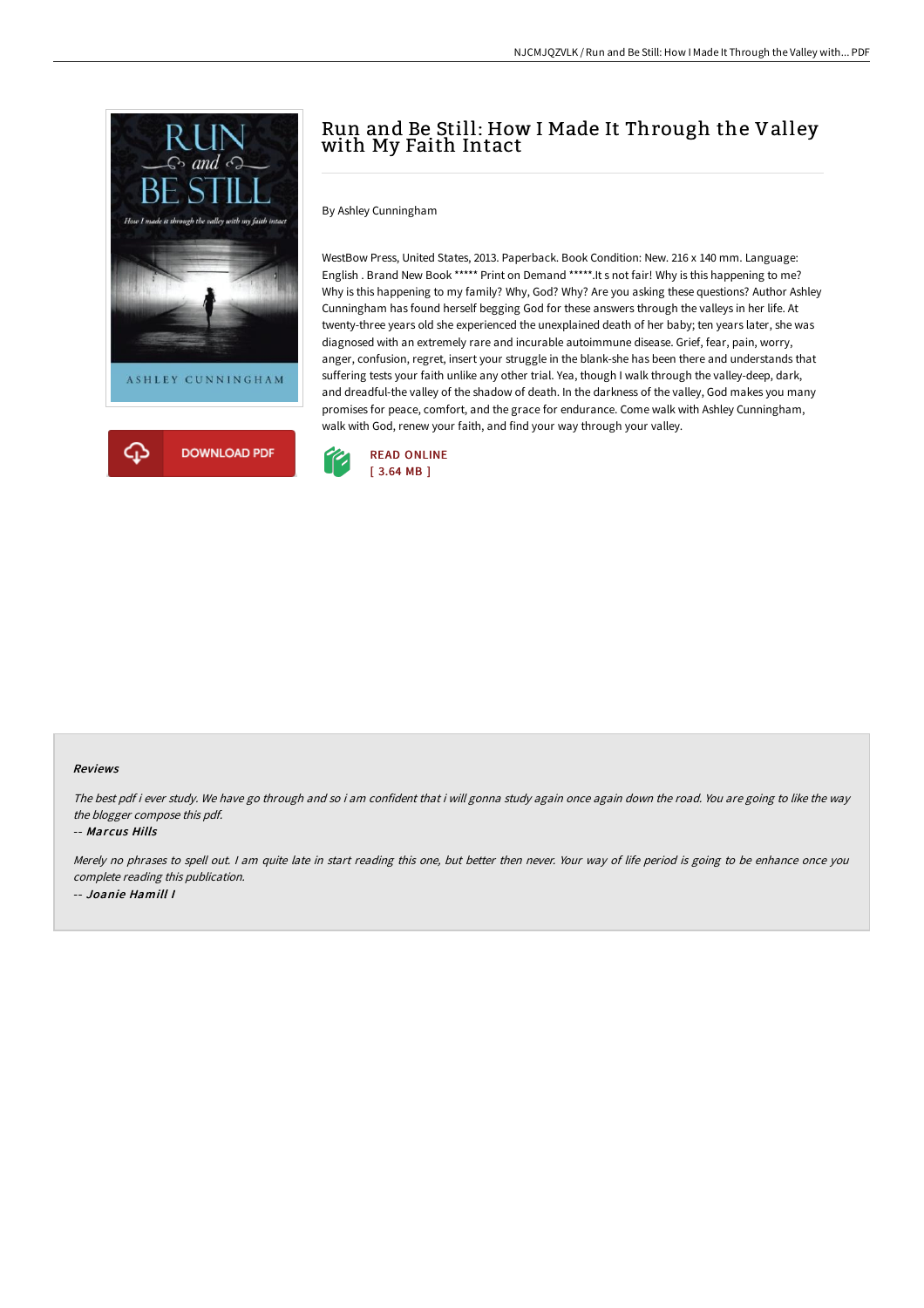



## Run and Be Still: How I Made It Through the Valley with My Faith Intact

By Ashley Cunningham

WestBow Press, United States, 2013. Paperback. Book Condition: New. 216 x 140 mm. Language: English . Brand New Book \*\*\*\*\* Print on Demand \*\*\*\*\*.It s not fair! Why is this happening to me? Why is this happening to my family? Why, God? Why? Are you asking these questions? Author Ashley Cunningham has found herself begging God for these answers through the valleys in her life. At twenty-three years old she experienced the unexplained death of her baby; ten years later, she was diagnosed with an extremely rare and incurable autoimmune disease. Grief, fear, pain, worry, anger, confusion, regret, insert your struggle in the blank-she has been there and understands that suffering tests your faith unlike any other trial. Yea, though I walk through the valley-deep, dark, and dreadful-the valley of the shadow of death. In the darkness of the valley, God makes you many promises for peace, comfort, and the grace for endurance. Come walk with Ashley Cunningham, walk with God, renew your faith, and find your way through your valley.



## Reviews

The best pdf i ever study. We have go through and so i am confident that i will gonna study again once again down the road. You are going to like the way the blogger compose this pdf.

## -- Marcus Hills

Merely no phrases to spell out. <sup>I</sup> am quite late in start reading this one, but better then never. Your way of life period is going to be enhance once you complete reading this publication. -- Joanie Hamill I